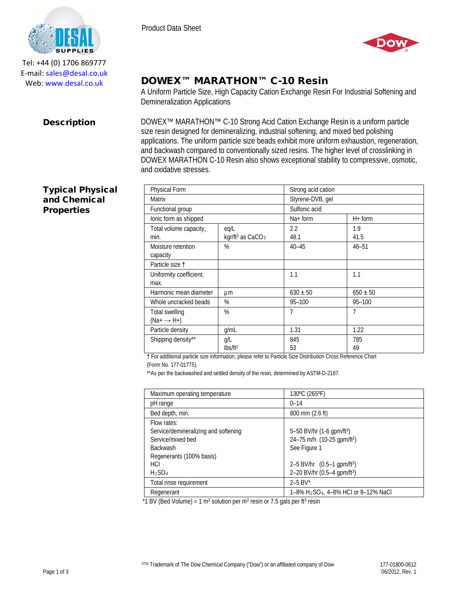

Tel: +44 (0) 1706 869777 E‐mail: sales@desal.co.uk Web: www.desal.co.uk

### Product Data Sheet



# DOWEX™ MARATHON™ C-10 Resin

A Uniform Particle Size, High Capacity Cation Exchange Resin For Industrial Softening and Demineralization Applications

**Description** DOWEX<sup>™</sup> MARATHON<sup>™</sup> C-10 Strong Acid Cation Exchange Resin is a uniform particle size resin designed for demineralizing, industrial softening, and mixed bed polishing applications. The uniform particle size beads exhibit more uniform exhaustion, regeneration, and backwash compared to conventionally sized resins. The higher level of crosslinking in DOWEX MARATHON C-10 Resin also shows exceptional stability to compressive, osmotic, and oxidative stresses.

| Physical Form           |                                          | Strong acid cation |              |
|-------------------------|------------------------------------------|--------------------|--------------|
| Matrix                  |                                          | Styrene-DVB, gel   |              |
| Functional group        |                                          | Sulfonic acid      |              |
| lonic form as shipped   |                                          | $Na+form$          | $H+$ form    |
| Total volume capacity,  | eq/L                                     | 2.2                | 1.9          |
| min.                    | kgr/ft <sup>3</sup> as CaCO <sub>3</sub> | 48.1               | 41.5         |
| Moisture retention      | %                                        | $40 - 45$          | $46 - 51$    |
| capacity                |                                          |                    |              |
| Particle size t         |                                          |                    |              |
| Uniformity coefficient, |                                          | 1.1                | 1.1          |
| max.                    |                                          |                    |              |
| Harmonic mean diameter  | μm                                       | $630 \pm 50$       | $650 \pm 50$ |
| Whole uncracked beads   | %                                        | $95 - 100$         | $95 - 100$   |
| Total swelling          | %                                        | 7                  | 7            |
| (Na+ → H+)              |                                          |                    |              |
| Particle density        | q/mL                                     | 1.31               | 1.22         |
| Shipping density**      | g/L                                      | 845                | 785          |
|                         | lbs/ft <sup>3</sup>                      | 53                 | 49           |

**†** For additional particle size information, please refer to Particle Size Distribution Cross Reference Chart

(Form No. 177-01775).

\*\*As per the backwashed and settled density of the resin, determined by ASTM-D-2187.

| Maximum operating temperature        | 130°C (265°F)                                                |  |
|--------------------------------------|--------------------------------------------------------------|--|
| pH range                             | $0 - 14$                                                     |  |
| Bed depth, min.                      | 800 mm (2.6 ft)                                              |  |
| Flow rates:                          |                                                              |  |
| Service/demineralizing and softening | 5-50 BV/hr (1-6 gpm/ft <sup>3</sup> )                        |  |
| Service/mixed bed                    | 24-75 m/h (10-25 gpm/ft <sup>2</sup> )                       |  |
| <b>Backwash</b>                      | See Figure 1                                                 |  |
| Regenerants (100% basis)             |                                                              |  |
| <b>HCI</b>                           | 2–5 BV/hr $(0.5-1$ gpm/ft <sup>3</sup> )                     |  |
| H <sub>2</sub> SO <sub>4</sub>       | 2-20 BV/hr (0.5-4 gpm/ft <sup>3</sup> )                      |  |
| Total rinse requirement              | $2 - 5$ BV*                                                  |  |
| Regenerant                           | 1–8% H <sub>2</sub> SO <sub>4</sub> , 4–8% HCI or 8–12% NaCl |  |

\*1 BV (Bed Volume) = 1 m<sup>3</sup> solution per m<sup>3</sup> resin or 7.5 gals per ft<sup>3</sup> resin

## Typical Physical and Chemical **Properties**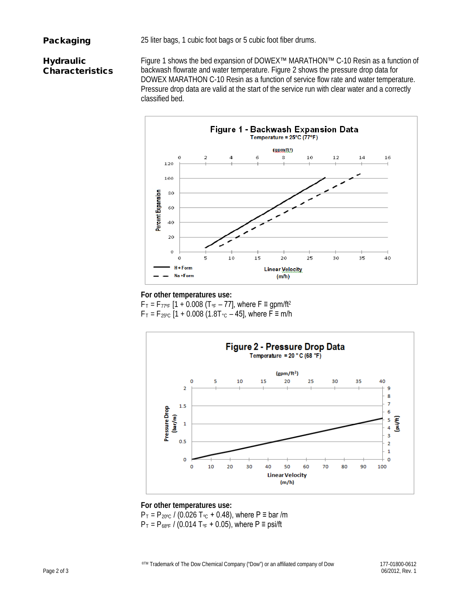**Packaging** 25 liter bags, 1 cubic foot bags or 5 cubic foot fiber drums.

# **Hydraulic** Characteristics

Figure 1 shows the bed expansion of DOWEX™ MARATHON™ C-10 Resin as a function of backwash flowrate and water temperature. Figure 2 shows the pressure drop data for DOWEX MARATHON C-10 Resin as a function of service flow rate and water temperature. Pressure drop data are valid at the start of the service run with clear water and a correctly classified bed.



### **For other temperatures use:**

 $F_T = F_{77°F}$  [1 + 0.008 (T<sub>°F</sub> – 77], where F  $\equiv$  gpm/ft<sup>2</sup>  $F_T = F_{25\degree}$  [1 + 0.008 (1.8T $\degree$ c – 45], where F = m/h



## **For other temperatures use:**  $P_T = P_{20\degree}$  / (0.026 T<sub>°C</sub> + 0.48), where P = bar /m  $P_T = P_{68^\circ F}$  / (0.014 T<sub>°F</sub> + 0.05), where P  $\equiv$  psi/ft